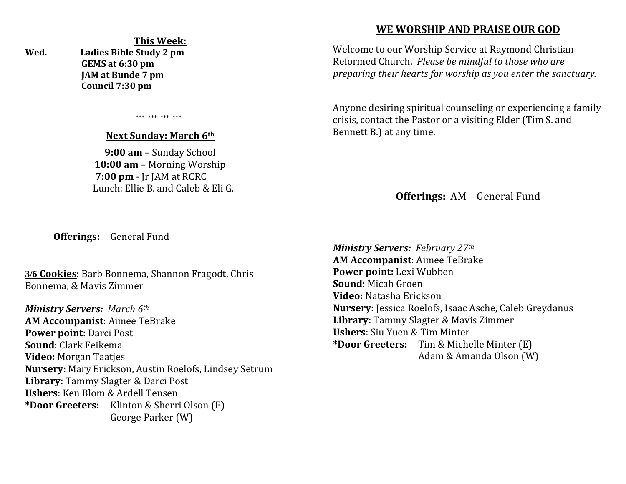**This Week: Wed. Ladies Bible Study 2 pm GEMS at 6:30 pm JAM at Bunde 7 pm Council 7:30 pm** 

\*\*\* \*\*\* \*\*\* \*\*\*

#### **Next Sunday: March 6th**

**9:00 am** – Sunday School **10:00 am** – Morning Worship  **7:00 pm** - Jr JAM at RCRC Lunch: Ellie B. and Caleb & Eli G.

# **WE WORSHIP AND PRAISE OUR GOD**

Welcome to our Worship Service at Raymond Christian Reformed Church. *Please be mindful to those who are preparing their hearts for worship as you enter the sanctuary.*

Anyone desiring spiritual counseling or experiencing a family crisis, contact the Pastor or a visiting Elder (Tim S. and Bennett B.) at any time.

**Offerings:** AM – General Fund

**Offerings:** General Fund

**3/6 Cookies**: Barb Bonnema, Shannon Fragodt, Chris Bonnema, & Mavis Zimmer

*Ministry Servers: March 6th*  **AM Accompanist**: Aimee TeBrake **Power point:** Darci Post **Sound**: Clark Feikema **Video:** Morgan Taatjes **Nursery:** Mary Erickson, Austin Roelofs, Lindsey Setrum **Library:** Tammy Slagter & Darci Post **Ushers**: Ken Blom & Ardell Tensen **\*Door Greeters:** Klinton & Sherri Olson (E) George Parker (W)

*Ministry Servers: February 27th*  **AM Accompanist**: Aimee TeBrake **Power point:** Lexi Wubben **Sound**: Micah Groen **Video:** Natasha Erickson **Nursery:** Jessica Roelofs, Isaac Asche, Caleb Greydanus **Library:** Tammy Slagter & Mavis Zimmer **Ushers**: Siu Yuen & Tim Minter **\*Door Greeters:** Tim & Michelle Minter (E) Adam & Amanda Olson (W)